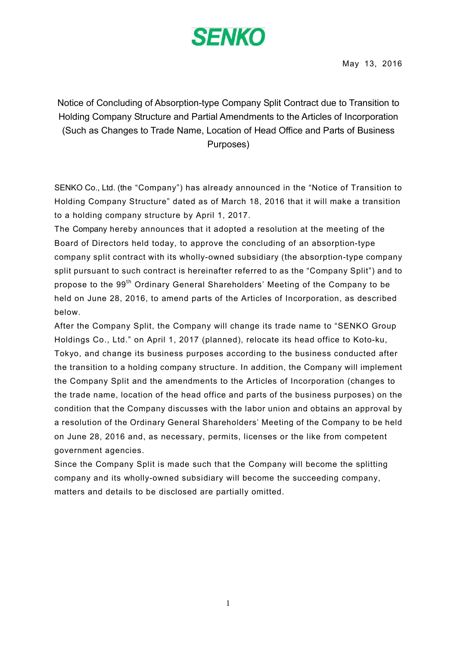# **SENKO**

Notice of Concluding of Absorption-type Company Split Contract due to Transition to Holding Company Structure and Partial Amendments to the Articles of Incorporation (Such as Changes to Trade Name, Location of Head Office and Parts of Business Purposes)

SENKO Co., Ltd. (the "Company") has already announced in the "Notice of Transition to Holding Company Structure" dated as of March 18, 2016 that it will make a transition to a holding company structure by April 1, 2017.

The Company hereby announces that it adopted a resolution at the meeting of the Board of Directors held today, to approve the concluding of an absorption-type company split contract with its wholly-owned subsidiary (the absorption-type company split pursuant to such contract is hereinafter referred to as the "Company Split") and to propose to the 99<sup>th</sup> Ordinary General Shareholders' Meeting of the Company to be held on June 28, 2016, to amend parts of the Articles of Incorporation, as described below.

After the Company Split, the Company will change its trade name to "SENKO Group Holdings Co., Ltd." on April 1, 2017 (planned), relocate its head office to Koto-ku, Tokyo, and change its business purposes according to the business conducted after the transition to a holding company structure. In addition, the Company will implement the Company Split and the amendments to the Articles of Incorporation (changes to the trade name, location of the head office and parts of the business purposes) on the condition that the Company discusses with the labor union and obtains an approval by a resolution of the Ordinary General Shareholders' Meeting of the Company to be held on June 28, 2016 and, as necessary, permits, licenses or the like from competent government agencies.

Since the Company Split is made such that the Company will become the splitting company and its wholly-owned subsidiary will become the succeeding company, matters and details to be disclosed are partially omitted.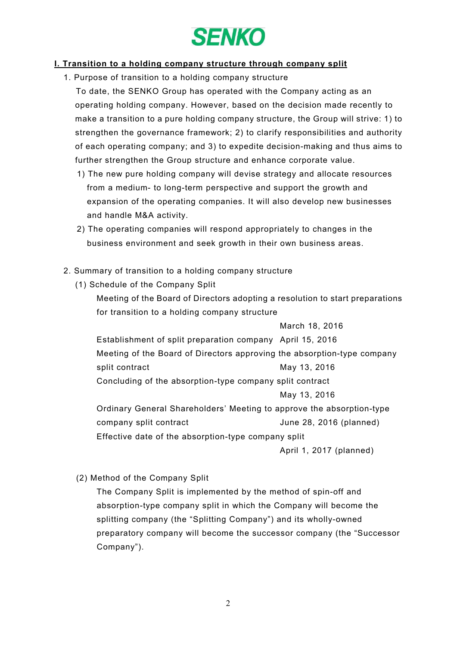

#### I. Transition to a holding company structure through company split

1. Purpose of transition to a holding company structure

To date, the SENKO Group has operated with the Company acting as an operating holding company. However, based on the decision made recently to make a transition to a pure holding company structure, the Group will strive: 1) to strengthen the governance framework; 2) to clarify responsibilities and authority of each operating company; and 3) to expedite decision-making and thus aims to further strengthen the Group structure and enhance corporate value.

- 1) The new pure holding company will devise strategy and allocate resources from a medium- to long-term perspective and support the growth and expansion of the operating companies. It will also develop new businesses and handle M&A activity.
- 2) The operating companies will respond appropriately to changes in the business environment and seek growth in their own business areas.
- 2. Summary of transition to a holding company structure
	- (1) Schedule of the Company Split
		- Meeting of the Board of Directors adopting a resolution to start preparations for transition to a holding company structure

March 18, 2016 Establishment of split preparation company April 15, 2016 Meeting of the Board of Directors approving the absorption-type company split contract May 13, 2016 Concluding of the absorption-type company split contract May 13, 2016 Ordinary General Shareholders' Meeting to approve the absorption-type company split contract and the Uune 28, 2016 (planned) Effective date of the absorption-type company split

April 1, 2017 (planned)

(2) Method of the Company Split

The Company Split is implemented by the method of spin-off and absorption-type company split in which the Company will become the splitting company (the "Splitting Company") and its wholly-owned preparatory company will become the successor company (the "Successor Company").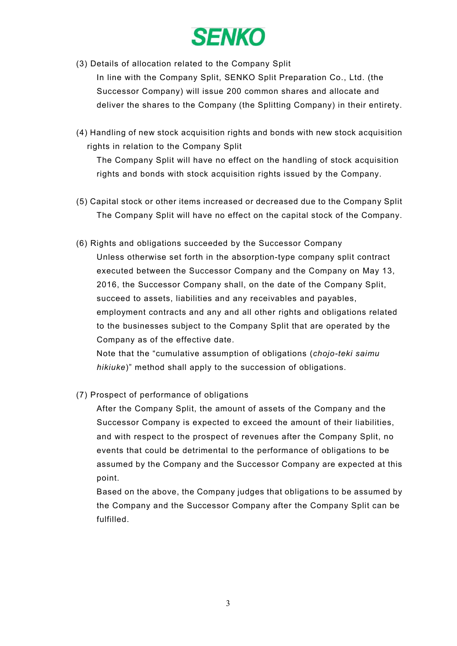

- (3) Details of allocation related to the Company Split In line with the Company Split, SENKO Split Preparation Co., Ltd. (the Successor Company) will issue 200 common shares and allocate and deliver the shares to the Company (the Splitting Company) in their entirety.
- (4) Handling of new stock acquisition rights and bonds with new stock acquisition rights in relation to the Company Split

The Company Split will have no effect on the handling of stock acquisition rights and bonds with stock acquisition rights issued by the Company.

- (5) Capital stock or other items increased or decreased due to the Company Split The Company Split will have no effect on the capital stock of the Company.
- (6) Rights and obligations succeeded by the Successor Company Unless otherwise set forth in the absorption-type company split contract executed between the Successor Company and the Company on May 13, 2016, the Successor Company shall, on the date of the Company Split, succeed to assets, liabilities and any receivables and payables, employment contracts and any and all other rights and obligations related to the businesses subject to the Company Split that are operated by the Company as of the effective date.

Note that the "cumulative assumption of obligations (*chojo-teki saimu hikiuke*)" method shall apply to the succession of obligations.

(7) Prospect of performance of obligations

After the Company Split, the amount of assets of the Company and the Successor Company is expected to exceed the amount of their liabilities, and with respect to the prospect of revenues after the Company Split, no events that could be detrimental to the performance of obligations to be assumed by the Company and the Successor Company are expected at this point.

Based on the above, the Company judges that obligations to be assumed by the Company and the Successor Company after the Company Split can be fulfilled.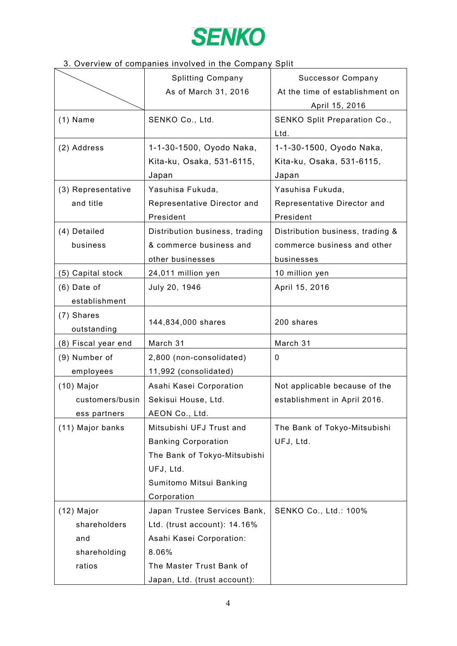

### 3. Overview of companies involved in the Company Split

|                     | <b>Splitting Company</b>       | <b>Successor Company</b>         |
|---------------------|--------------------------------|----------------------------------|
|                     | As of March 31, 2016           | At the time of establishment on  |
|                     |                                | April 15, 2016                   |
| $(1)$ Name          | SENKO Co., Ltd.                | SENKO Split Preparation Co.,     |
|                     |                                | Ltd.                             |
| (2) Address         | 1-1-30-1500, Oyodo Naka,       | 1-1-30-1500, Oyodo Naka,         |
|                     | Kita-ku, Osaka, 531-6115,      | Kita-ku, Osaka, 531-6115,        |
|                     | Japan                          | Japan                            |
| (3) Representative  | Yasuhisa Fukuda,               | Yasuhisa Fukuda,                 |
| and title           | Representative Director and    | Representative Director and      |
|                     | President                      | President                        |
| (4) Detailed        | Distribution business, trading | Distribution business, trading & |
| business            | & commerce business and        | commerce business and other      |
|                     | other businesses               | businesses                       |
| (5) Capital stock   | 24,011 million yen             | 10 million yen                   |
| $(6)$ Date of       | July 20, 1946                  | April 15, 2016                   |
| establishment       |                                |                                  |
| (7) Shares          |                                |                                  |
| outstanding         | 144,834,000 shares             | 200 shares                       |
| (8) Fiscal year end | March 31                       | March 31                         |
| (9) Number of       | 2,800 (non-consolidated)       | 0                                |
| employees           | 11,992 (consolidated)          |                                  |
| $(10)$ Major        | Asahi Kasei Corporation        | Not applicable because of the    |
| customers/busin     | Sekisui House, Ltd.            | establishment in April 2016.     |
| ess partners        | AEON Co., Ltd.                 |                                  |
| (11) Major banks    | Mitsubishi UFJ Trust and       | The Bank of Tokyo-Mitsubishi     |
|                     | <b>Banking Corporation</b>     | UFJ, Ltd.                        |
|                     | The Bank of Tokyo-Mitsubishi   |                                  |
|                     | UFJ, Ltd.                      |                                  |
|                     | Sumitomo Mitsui Banking        |                                  |
|                     | Corporation                    |                                  |
| $(12)$ Major        | Japan Trustee Services Bank,   | SENKO Co., Ltd.: 100%            |
| shareholders        | Ltd. (trust account): 14.16%   |                                  |
| and                 | Asahi Kasei Corporation:       |                                  |
| shareholding        | 8.06%                          |                                  |
| ratios              | The Master Trust Bank of       |                                  |
|                     | Japan, Ltd. (trust account):   |                                  |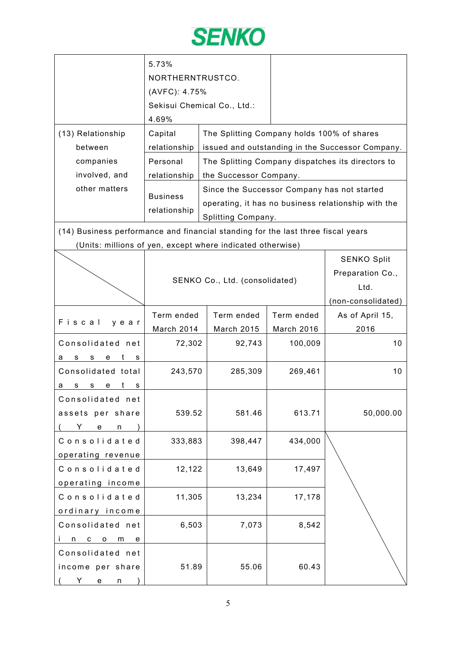

|                                                                                  | 5.73%<br>NORTHERNTRUSTCO.<br>(AVFC): 4.75%<br>Sekisui Chemical Co., Ltd.:        |  |                                                                   |                    |                                                     |  |
|----------------------------------------------------------------------------------|----------------------------------------------------------------------------------|--|-------------------------------------------------------------------|--------------------|-----------------------------------------------------|--|
|                                                                                  | 4.69%                                                                            |  |                                                                   |                    |                                                     |  |
| (13) Relationship                                                                | Capital                                                                          |  | The Splitting Company holds 100% of shares                        |                    |                                                     |  |
| between                                                                          | relationship                                                                     |  |                                                                   |                    | issued and outstanding in the Successor Company.    |  |
| companies                                                                        | Personal                                                                         |  |                                                                   |                    | The Splitting Company dispatches its directors to   |  |
| involved, and                                                                    | relationship                                                                     |  | the Successor Company.                                            |                    |                                                     |  |
| other matters                                                                    | <b>Business</b><br>relationship                                                  |  | Since the Successor Company has not started<br>Splitting Company. |                    | operating, it has no business relationship with the |  |
| (14) Business performance and financial standing for the last three fiscal years |                                                                                  |  |                                                                   |                    |                                                     |  |
| (Units: millions of yen, except where indicated otherwise)                       |                                                                                  |  |                                                                   |                    |                                                     |  |
|                                                                                  | <b>SENKO Split</b><br>Preparation Co.,<br>SENKO Co., Ltd. (consolidated)<br>Ltd. |  |                                                                   | (non-consolidated) |                                                     |  |
|                                                                                  | Term ended                                                                       |  | Term ended                                                        | Term ended         | As of April 15,                                     |  |
| Fiscal<br>y e a r                                                                | March 2014                                                                       |  | <b>March 2015</b>                                                 | March 2016         | 2016                                                |  |
| Consolidated net<br>t<br>s<br>s<br>е<br>а<br>s                                   | 72,302                                                                           |  | 92,743                                                            | 100,009            | 10                                                  |  |
| Consolidated total<br>t<br>s<br>s<br>e<br>а<br>s                                 | 243,570                                                                          |  | 285,309                                                           | 269,461            | 10                                                  |  |
| Consolidated net<br>assets per share<br>Y.<br>e<br>n                             | 539.52                                                                           |  | 581.46                                                            | 613.71             | 50,000.00                                           |  |
| Consolidated<br>operating revenue                                                | 333,883                                                                          |  | 398,447                                                           | 434,000            |                                                     |  |
| Consolidated<br>operating income                                                 | 12,122                                                                           |  | 13,649                                                            | 17,497             |                                                     |  |
| Consolidated<br>ordinary income                                                  | 11,305                                                                           |  | 13,234                                                            | 17,178             |                                                     |  |
| Consolidated net<br>С<br>n<br>$\mathsf{o}$<br>m<br>e                             | 6,503                                                                            |  | 7,073                                                             | 8,542              |                                                     |  |
| Consolidated net<br>income per share<br>Y<br>e<br>n                              | 51.89                                                                            |  | 55.06                                                             | 60.43              |                                                     |  |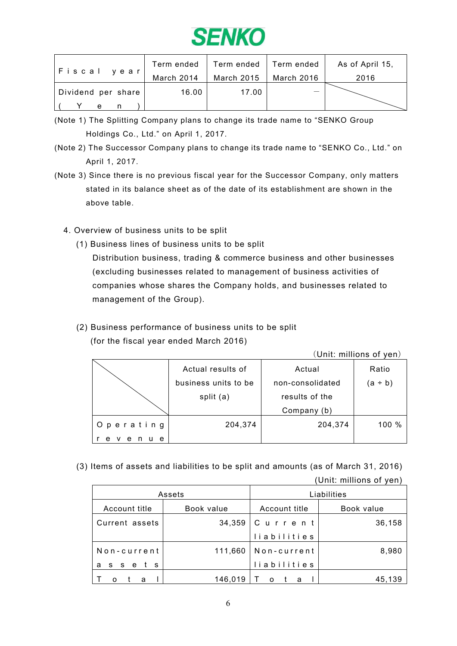

| Fiscal year        | Term ended | Term ended | Term ended | As of April 15, |
|--------------------|------------|------------|------------|-----------------|
|                    | March 2014 | March 2015 | March 2016 | 2016            |
| Dividend per share | 16.00      | 17.00      |            |                 |
| e                  |            |            |            |                 |

- (Note 1) The Splitting Company plans to change its trade name to "SENKO Group Holdings Co., Ltd." on April 1, 2017.
- (Note 2) The Successor Company plans to change its trade name to "SENKO Co., Ltd." on April 1, 2017.
- (Note 3) Since there is no previous fiscal year for the Successor Company, only matters stated in its balance sheet as of the date of its establishment are shown in the above table.
	- 4. Overview of business units to be split
		- (1) Business lines of business units to be split

Distribution business, trading & commerce business and other businesses (excluding businesses related to management of business activities of companies whose shares the Company holds, and businesses related to management of the Group).

(2) Business performance of business units to be split (for the fiscal year ended March 2016)

(Unit: millions of yen)

|                  | Actual results of    | Actual           | Ratio   |
|------------------|----------------------|------------------|---------|
|                  | business units to be | non-consolidated | (a ÷ b) |
|                  | split (a)            | results of the   |         |
|                  |                      | Company (b)      |         |
| Operating        | 204,374              | 204,374          | 100 %   |
| e<br>e<br>v<br>e |                      |                  |         |

(3) Items of assets and liabilities to be split and amounts (as of March 31, 2016)

(Unit: millions of yen)

|                    | Assets     |               | Liabilities |
|--------------------|------------|---------------|-------------|
| Account title      | Book value | Account title | Book value  |
| Current assets     | 34,359     | Current       | 36,158      |
|                    |            | liabilities   |             |
| Non-current        | 111,660    | Non-current   | 8,980       |
| a<br>S S<br>e<br>s |            | liabilities   |             |
| a                  | 146,019    | $\Omega$<br>a | 45.139      |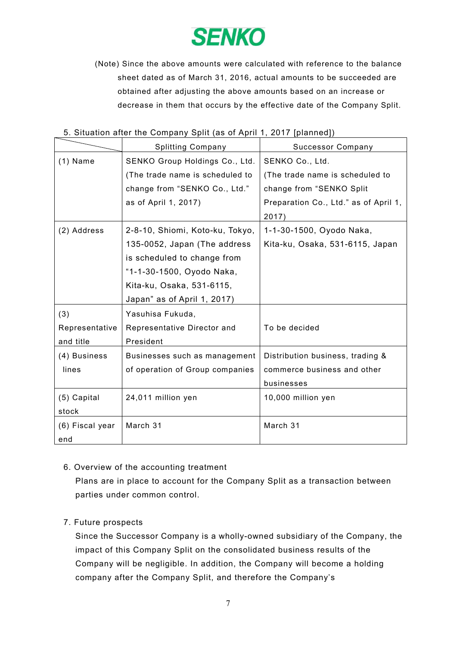

(Note) Since the above amounts were calculated with reference to the balance sheet dated as of March 31, 2016, actual amounts to be succeeded are obtained after adjusting the above amounts based on an increase or decrease in them that occurs by the effective date of the Company Split.

|                 | $\sigma$ . Ontainon and the Company Opht (as of Aphil 1, 2011 [pianned]] |                                       |
|-----------------|--------------------------------------------------------------------------|---------------------------------------|
|                 | <b>Splitting Company</b>                                                 | <b>Successor Company</b>              |
| $(1)$ Name      | SENKO Group Holdings Co., Ltd.                                           | SENKO Co., Ltd.                       |
|                 | (The trade name is scheduled to                                          | (The trade name is scheduled to       |
|                 | change from "SENKO Co., Ltd."                                            | change from "SENKO Split              |
|                 | as of April 1, 2017)                                                     | Preparation Co., Ltd." as of April 1, |
|                 |                                                                          | 2017)                                 |
| (2) Address     | 2-8-10, Shiomi, Koto-ku, Tokyo,                                          | 1-1-30-1500, Oyodo Naka,              |
|                 | 135-0052, Japan (The address                                             | Kita-ku, Osaka, 531-6115, Japan       |
|                 | is scheduled to change from                                              |                                       |
|                 | "1-1-30-1500, Oyodo Naka,                                                |                                       |
|                 | Kita-ku, Osaka, 531-6115,                                                |                                       |
|                 | Japan" as of April 1, 2017)                                              |                                       |
| (3)             | Yasuhisa Fukuda,                                                         |                                       |
| Representative  | Representative Director and                                              | To be decided                         |
| and title       | President                                                                |                                       |
| (4) Business    | Businesses such as management                                            | Distribution business, trading &      |
| lines           | of operation of Group companies                                          | commerce business and other           |
|                 |                                                                          | businesses                            |
| (5) Capital     | 24,011 million yen                                                       | 10,000 million yen                    |
| stock           |                                                                          |                                       |
| (6) Fiscal year | March 31                                                                 | March 31                              |
| end             |                                                                          |                                       |

## 5. Situation after the Company Split (as of April 1, 2017 [planned])

#### 6. Overview of the accounting treatment

Plans are in place to account for the Company Split as a transaction between parties under common control.

#### 7. Future prospects

Since the Successor Company is a wholly-owned subsidiary of the Company, the impact of this Company Split on the consolidated business results of the Company will be negligible. In addition, the Company will become a holding company after the Company Split, and therefore the Company's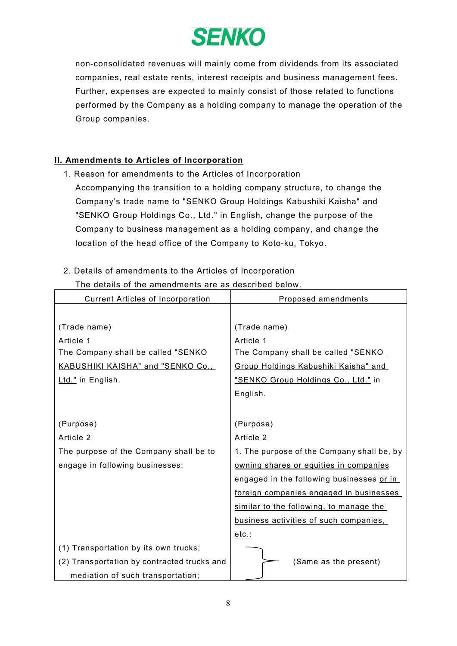

non-consolidated revenues will mainly come from dividends from its associated companies, real estate rents, interest receipts and business management fees. Further, expenses are expected to mainly consist of those related to functions performed by the Company as a holding company to manage the operation of the Group companies.

#### II. Amendments to Articles of Incorporation

- 1. Reason for amendments to the Articles of Incorporation
	- Accompanying the transition to a holding company structure, to change the Company's trade name to "SENKO Group Holdings Kabushiki Kaisha" and "SENKO Group Holdings Co., Ltd." in English, change the purpose of the Company to business management as a holding company, and change the location of the head office of the Company to Koto-ku, Tokyo.
- 2. Details of amendments to the Articles of Incorporation

#### The details of the amendments are as described below.

| <b>Current Articles of Incorporation</b>    | Proposed amendments                        |
|---------------------------------------------|--------------------------------------------|
|                                             |                                            |
| (Trade name)                                | (Trade name)                               |
| Article 1                                   | Article 1                                  |
| The Company shall be called "SENKO          | The Company shall be called "SENKO         |
| <b>KABUSHIKI KAISHA" and "SENKO Co.,</b>    | Group Holdings Kabushiki Kaisha" and       |
| Ltd." in English.                           | "SENKO Group Holdings Co., Ltd." in        |
|                                             | English.                                   |
|                                             |                                            |
| (Purpose)                                   | (Purpose)                                  |
| Article 2                                   | Article 2                                  |
| The purpose of the Company shall be to      | 1. The purpose of the Company shall be, by |
| engage in following businesses:             | owning shares or equities in companies     |
|                                             | engaged in the following businesses or in  |
|                                             | foreign companies engaged in businesses    |
|                                             | similar to the following, to manage the    |
|                                             | business activities of such companies,     |
|                                             | etc.:                                      |
| (1) Transportation by its own trucks;       |                                            |
| (2) Transportation by contracted trucks and | (Same as the present)                      |
| mediation of such transportation;           |                                            |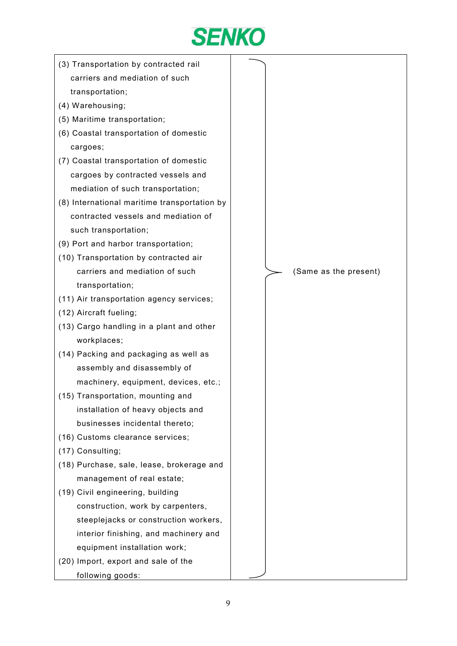

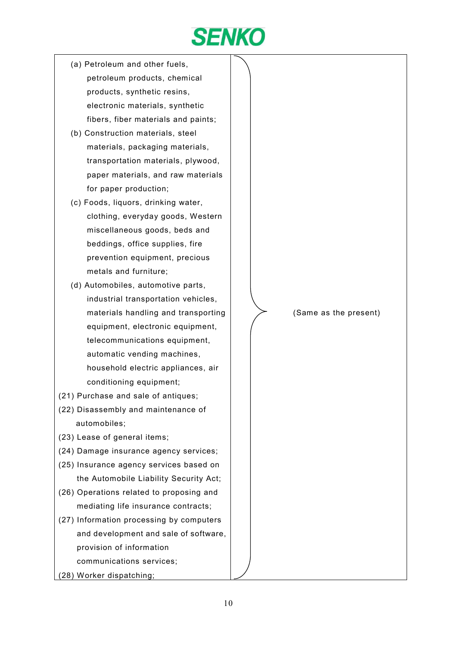

- (a) Petroleum and other fuels, petroleum products, chemical products, synthetic resins, electronic materials, synthetic fibers, fiber materials and paints;
- (b) Construction materials, steel materials, packaging materials, transportation materials, plywood, paper materials, and raw materials for paper production;
- (c) Foods, liquors, drinking water, clothing, everyday goods, Western miscellaneous goods, beds and beddings, office supplies, fire prevention equipment, precious metals and furniture;
- (d) Automobiles, automotive parts, industrial transportation vehicles, materials handling and transporting equipment, electronic equipment, telecommunications equipment, automatic vending machines, household electric appliances, air conditioning equipment;
- (21) Purchase and sale of antiques;
- (22) Disassembly and maintenance of automobiles;
- (23) Lease of general items;
- (24) Damage insurance agency services;
- (25) Insurance agency services based on the Automobile Liability Security Act;
- (26) Operations related to proposing and mediating life insurance contracts;
- (27) Information processing by computers and development and sale of software, provision of information communications services;
- (28) Worker dispatching;

(Same as the present)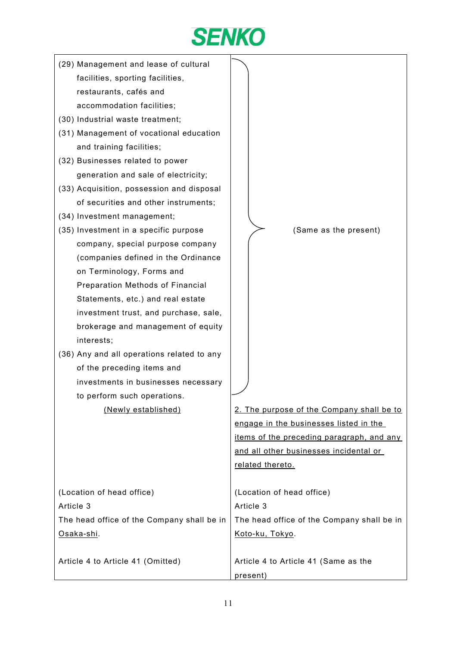

- (29) Management and lease of cultural facilities, sporting facilities, restaurants, cafés and accommodation facilities;
- (30) Industrial waste treatment;
- (31) Management of vocational education and training facilities;
- (32) Businesses related to power generation and sale of electricity;
- (33) Acquisition, possession and disposal of securities and other instruments;
- (34) Investment management;
- (35) Investment in a specific purpose company, special purpose company (companies defined in the Ordinance on Terminology, Forms and Preparation Methods of Financial Statements, etc.) and real estate investment trust, and purchase, sale, brokerage and management of equity interests;
- (36) Any and all operations related to any of the preceding items and investments in businesses necessary to perform such operations.

(Newly established)

(Same as the present)

2. The purpose of the Company shall be to engage in the businesses listed in the items of the preceding paragraph, and any and all other businesses incidental or related thereto.

| (Location of head office)                  | (Location of head office)                  |
|--------------------------------------------|--------------------------------------------|
| Article 3                                  | Article 3                                  |
| The head office of the Company shall be in | The head office of the Company shall be in |
| Osaka-shi.                                 | Koto-ku, Tokyo.                            |
|                                            |                                            |
| Article 4 to Article 41 (Omitted)          | Article 4 to Article 41 (Same as the       |
|                                            | present)                                   |